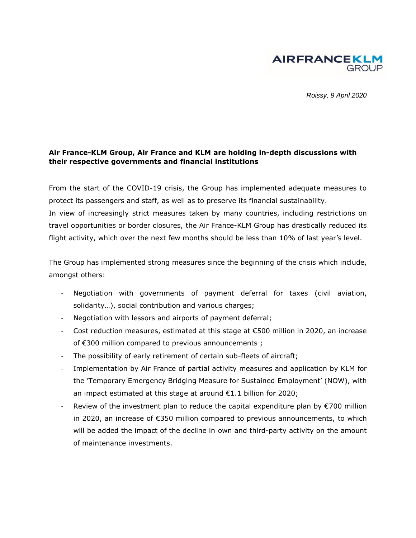

*Roissy, 9 April 2020*

## **Air France-KLM Group, Air France and KLM are holding in-depth discussions with their respective governments and financial institutions**

From the start of the COVID-19 crisis, the Group has implemented adequate measures to protect its passengers and staff, as well as to preserve its financial sustainability. In view of increasingly strict measures taken by many countries, including restrictions on travel opportunities or border closures, the Air France-KLM Group has drastically reduced its flight activity, which over the next few months should be less than 10% of last year's level.

The Group has implemented strong measures since the beginning of the crisis which include, amongst others:

- Negotiation with governments of payment deferral for taxes (civil aviation, solidarity…), social contribution and various charges;
- Negotiation with lessors and airports of payment deferral;
- Cost reduction measures, estimated at this stage at  $\epsilon$ 500 million in 2020, an increase of €300 million compared to previous announcements ;
- The possibility of early retirement of certain sub-fleets of aircraft;
- Implementation by Air France of partial activity measures and application by KLM for the '[Temporary Emergency Bridging Measure for Sustained](https://business.gov.nl/subsidy/corona-crisis-temporary-emergency-measure-now/) Employment' (NOW), with an impact estimated at this stage at around €1.1 billion for 2020;
- Review of the investment plan to reduce the capital expenditure plan by  $\epsilon$ 700 million in 2020, an increase of €350 million compared to previous announcements, to which will be added the impact of the decline in own and third-party activity on the amount of maintenance investments.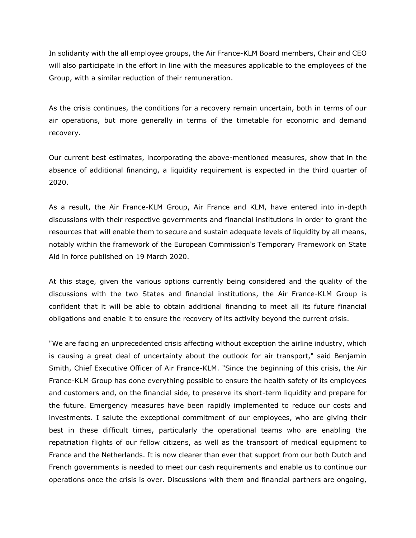In solidarity with the all employee groups, the Air France-KLM Board members, Chair and CEO will also participate in the effort in line with the measures applicable to the employees of the Group, with a similar reduction of their remuneration.

As the crisis continues, the conditions for a recovery remain uncertain, both in terms of our air operations, but more generally in terms of the timetable for economic and demand recovery.

Our current best estimates, incorporating the above-mentioned measures, show that in the absence of additional financing, a liquidity requirement is expected in the third quarter of 2020.

As a result, the Air France-KLM Group, Air France and KLM, have entered into in-depth discussions with their respective governments and financial institutions in order to grant the resources that will enable them to secure and sustain adequate levels of liquidity by all means, notably within the framework of the European Commission's Temporary Framework on State Aid in force published on 19 March 2020.

At this stage, given the various options currently being considered and the quality of the discussions with the two States and financial institutions, the Air France-KLM Group is confident that it will be able to obtain additional financing to meet all its future financial obligations and enable it to ensure the recovery of its activity beyond the current crisis.

"We are facing an unprecedented crisis affecting without exception the airline industry, which is causing a great deal of uncertainty about the outlook for air transport," said Benjamin Smith, Chief Executive Officer of Air France-KLM. "Since the beginning of this crisis, the Air France-KLM Group has done everything possible to ensure the health safety of its employees and customers and, on the financial side, to preserve its short-term liquidity and prepare for the future. Emergency measures have been rapidly implemented to reduce our costs and investments. I salute the exceptional commitment of our employees, who are giving their best in these difficult times, particularly the operational teams who are enabling the repatriation flights of our fellow citizens, as well as the transport of medical equipment to France and the Netherlands. It is now clearer than ever that support from our both Dutch and French governments is needed to meet our cash requirements and enable us to continue our operations once the crisis is over. Discussions with them and financial partners are ongoing,